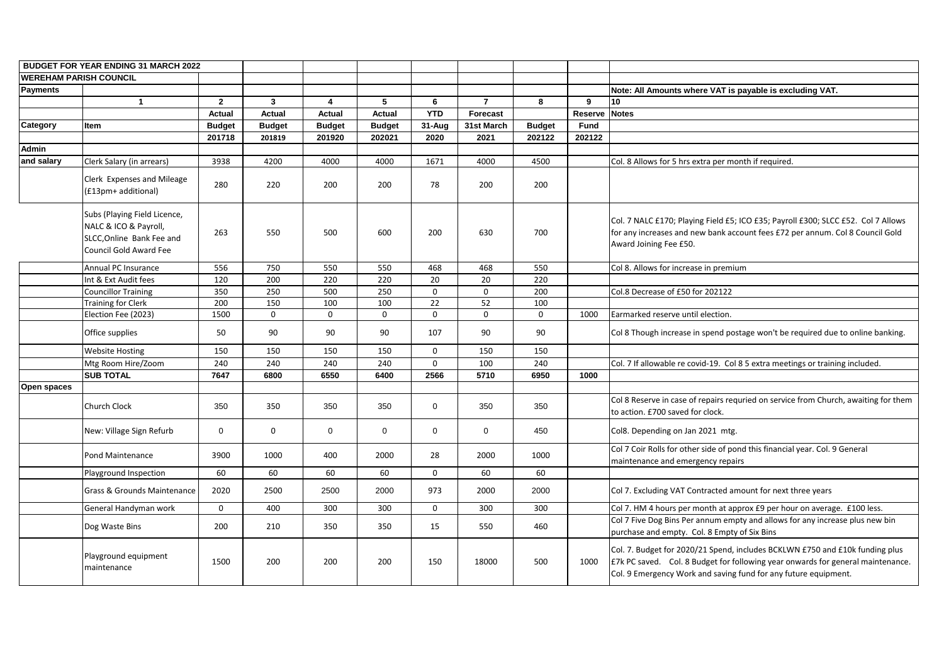|                 | <b>BUDGET FOR YEAR ENDING 31 MARCH 2022</b>                                                                         |                |               |                         |                 |                |                 |               |                |                                                                                                                                                           |
|-----------------|---------------------------------------------------------------------------------------------------------------------|----------------|---------------|-------------------------|-----------------|----------------|-----------------|---------------|----------------|-----------------------------------------------------------------------------------------------------------------------------------------------------------|
|                 | <b>WEREHAM PARISH COUNCIL</b>                                                                                       |                |               |                         |                 |                |                 |               |                |                                                                                                                                                           |
| Payments        |                                                                                                                     |                |               |                         |                 |                |                 |               |                | Note: All Amounts where VAT is payable is exc                                                                                                             |
|                 | $\mathbf 1$                                                                                                         | $\overline{2}$ | $\mathbf{3}$  | $\overline{\mathbf{4}}$ | $5\phantom{.0}$ | $6\phantom{1}$ | $\overline{7}$  | 8             | 9              | 10                                                                                                                                                        |
|                 |                                                                                                                     | <b>Actual</b>  | <b>Actual</b> | <b>Actual</b>           | <b>Actual</b>   | <b>YTD</b>     | <b>Forecast</b> |               | <b>Reserve</b> | <b>Notes</b>                                                                                                                                              |
| <b>Category</b> | Item                                                                                                                | <b>Budget</b>  | <b>Budget</b> | <b>Budget</b>           | <b>Budget</b>   | 31-Aug         | 31st March      | <b>Budget</b> | <b>Fund</b>    |                                                                                                                                                           |
|                 |                                                                                                                     | 201718         | 201819        | 201920                  | 202021          | 2020           | 2021            | 202122        | 202122         |                                                                                                                                                           |
| <b>Admin</b>    |                                                                                                                     |                |               |                         |                 |                |                 |               |                |                                                                                                                                                           |
| and salary      | Clerk Salary (in arrears)                                                                                           | 3938           | 4200          | 4000                    | 4000            | 1671           | 4000            | 4500          |                | Col. 8 Allows for 5 hrs extra per month if required.                                                                                                      |
|                 | Clerk Expenses and Mileage<br>(£13pm+ additional)                                                                   | 280            | 220           | 200                     | 200             | 78             | 200             | 200           |                |                                                                                                                                                           |
|                 | Subs (Playing Field Licence,<br>NALC & ICO & Payroll,<br>SLCC, Online Bank Fee and<br><b>Council Gold Award Fee</b> | 263            | 550           | 500                     | 600             | 200            | 630             | 700           |                | Col. 7 NALC £170; Playing Field £5; ICO £35; Payro<br>for any increases and new bank account fees £72<br>Award Joining Fee £50.                           |
|                 | Annual PC Insurance                                                                                                 | 556            | 750           | 550                     | 550             | 468            | 468             | 550           |                | Col 8. Allows for increase in premium                                                                                                                     |
|                 | Int & Ext Audit fees                                                                                                | 120            | 200           | 220                     | 220             | 20             | 20              | 220           |                |                                                                                                                                                           |
|                 | <b>Councillor Training</b>                                                                                          | 350            | 250           | 500                     | 250             | $\mathsf{O}$   | $\mathbf 0$     | 200           |                | Col.8 Decrease of £50 for 202122                                                                                                                          |
|                 | <b>Training for Clerk</b>                                                                                           | 200            | 150           | 100                     | 100             | 22             | 52              | 100           |                |                                                                                                                                                           |
|                 | Election Fee (2023)                                                                                                 | 1500           | 0             | 0                       | $\mathbf 0$     | 0              | $\mathbf 0$     | 0             | 1000           | Earmarked reserve until election.                                                                                                                         |
|                 | Office supplies                                                                                                     | 50             | 90            | 90                      | 90              | 107            | 90              | 90            |                | Col 8 Though increase in spend postage won't be i                                                                                                         |
|                 | <b>Website Hosting</b>                                                                                              | 150            | 150           | 150                     | 150             | $\mathbf 0$    | 150             | 150           |                |                                                                                                                                                           |
|                 | Mtg Room Hire/Zoom                                                                                                  | 240            | 240           | 240                     | 240             | 0              | 100             | 240           |                | Col. 7 If allowable re covid-19. Col 8 5 extra meeti                                                                                                      |
|                 | <b>SUB TOTAL</b>                                                                                                    | 7647           | 6800          | 6550                    | 6400            | 2566           | 5710            | 6950          | 1000           |                                                                                                                                                           |
| Open spaces     |                                                                                                                     |                |               |                         |                 |                |                 |               |                |                                                                                                                                                           |
|                 | <b>Church Clock</b>                                                                                                 | 350            | 350           | 350                     | 350             | 0              | 350             | 350           |                | Col 8 Reserve in case of repairs requried on service<br>to action. £700 saved for clock.                                                                  |
|                 | New: Village Sign Refurb                                                                                            | $\mathbf 0$    | $\mathbf 0$   | $\mathbf 0$             | $\mathbf 0$     | $\mathbf 0$    | $\mathbf 0$     | 450           |                | Col8. Depending on Jan 2021 mtg.                                                                                                                          |
|                 | Pond Maintenance                                                                                                    | 3900           | 1000          | 400                     | 2000            | 28             | 2000            | 1000          |                | Col 7 Coir Rolls for other side of pond this financia<br>maintenance and emergency repairs                                                                |
|                 | Playground Inspection                                                                                               | 60             | 60            | 60                      | 60              | $\mathbf 0$    | 60              | 60            |                |                                                                                                                                                           |
|                 | Grass & Grounds Maintenance                                                                                         | 2020           | 2500          | 2500                    | 2000            | 973            | 2000            | 2000          |                | Col 7. Excluding VAT Contracted amount for next t                                                                                                         |
|                 | General Handyman work                                                                                               | $\mathsf{O}$   | 400           | 300                     | 300             | $\mathbf 0$    | 300             | 300           |                | Col 7. HM 4 hours per month at approx £9 per hou                                                                                                          |
|                 | Dog Waste Bins                                                                                                      | 200            | 210           | 350                     | 350             | 15             | 550             | 460           |                | Col 7 Five Dog Bins Per annum empty and allows f<br>purchase and empty. Col. 8 Empty of Six Bins                                                          |
|                 | Playground equipment<br>maintenance                                                                                 | 1500           | 200           | 200                     | 200             | 150            | 18000           | 500           | 1000           | Col. 7. Budget for 2020/21 Spend, includes BCKLW<br>E7k PC saved. Col. 8 Budget for following year or<br>Col. 9 Emergency Work and saving fund for any fu |

**Payable is excluding VAT.** 

i; ICO £35; Payroll £300; SLCC £52. Col 7 Allows ccount fees £72 per annum. Col 8 Council Gold

ostage won't be required due to online banking.

185 extra meetings or training included.

equried on service from Church, awaiting for them

ond this financial year. Col. 9 General

mount for next three years

pprox £9 per hour on average. £100 less. mpty and allows for any increase plus new bin y of Six Bins

 $\mu$ , includes BCKLWN £750 and £10k funding plus following year onwards for general maintenance. g fund for any future equipment.